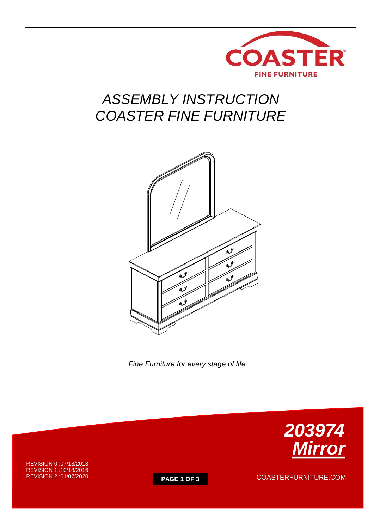

# *ASSEMBLY INSTRUCTION COASTER FINE FURNITURE*



 *Fine Furniture for every stage of life*

REVISION 0 :07/18/2013 REVISION 1 :10/18/2016 REVISION 2 :01/07/2020



**PAGE 1 OF 3** COASTERFURNITURE.COM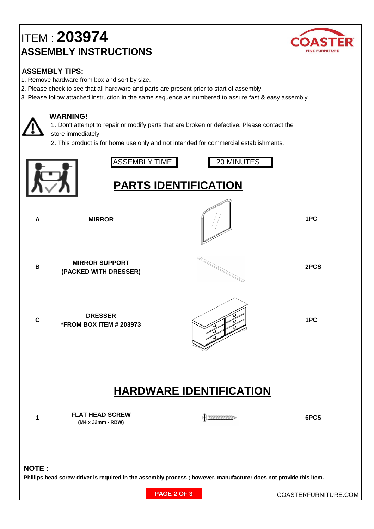## ITEM : **20397 4 ASSEMBLY INSTRUCTIONS**



### **ASSEMBLY TIPS:**

- 1. Remove hardware from box and sort by size.
- 2. Please check to see that all hardware and parts are present prior to start of assembly.
- 3. Please follow attached instruction in the same sequence as numbered to assure fast & easy assembly.

#### **WARNING!**

 1. Don't attempt to repair or modify parts that are broken or defective. Please contact the store immediately.

2. This product is for home use only and not intended for commercial establishments.

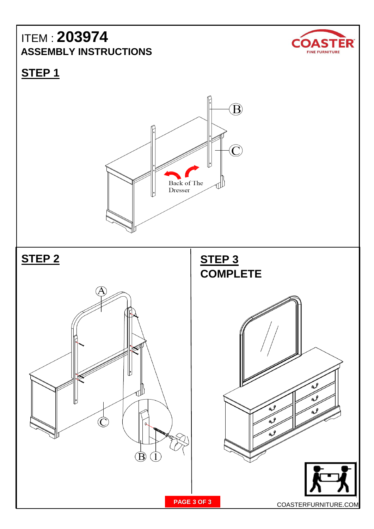### ITEM : **20397 4 ASSEMBLY INSTRUCTIONS**



**STEP 1**